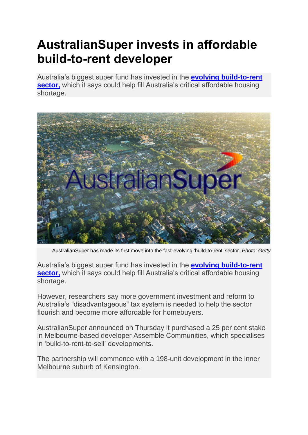## **AustralianSuper invests in affordable build-to-rent developer**

Australia's biggest super fund has invested in the **[evolving build-to-rent](https://thenewdaily.com.au/finance/property/2019/08/01/super-funds-affordable-housing-pradolin/)  [sector,](https://thenewdaily.com.au/finance/property/2019/08/01/super-funds-affordable-housing-pradolin/)** which it says could help fill Australia's critical affordable housing shortage.



AustralianSuper has made its first move into the fast-evolving 'build-to-rent' sector. *Photo: Getty*

Australia's biggest super fund has invested in the **[evolving build-to-rent](https://thenewdaily.com.au/finance/property/2019/08/01/super-funds-affordable-housing-pradolin/)  [sector,](https://thenewdaily.com.au/finance/property/2019/08/01/super-funds-affordable-housing-pradolin/)** which it says could help fill Australia's critical affordable housing shortage.

However, researchers say more government investment and reform to Australia's "disadvantageous" tax system is needed to help the sector flourish and become more affordable for homebuyers.

AustralianSuper announced on Thursday it purchased a 25 per cent stake in Melbourne-based developer Assemble Communities, which specialises in 'build-to-rent-to-sell' developments.

The partnership will commence with a 198-unit development in the inner Melbourne suburb of Kensington.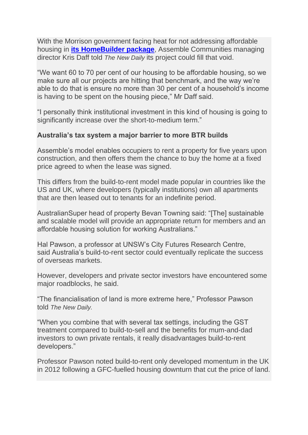With the Morrison government facing heat for not addressing affordable housing in **[its HomeBuilder package](https://thenewdaily.com.au/finance/finance-news/2020/06/03/home-buyer-grants-homebuilder/)**, Assemble Communities managing director Kris Daff told *The New Daily* its project could fill that void.

"We want 60 to 70 per cent of our housing to be affordable housing, so we make sure all our projects are hitting that benchmark, and the way we're able to do that is ensure no more than 30 per cent of a household's income is having to be spent on the housing piece," Mr Daff said.

"I personally think institutional investment in this kind of housing is going to significantly increase over the short-to-medium term."

## **Australia's tax system a major barrier to more BTR builds**

Assemble's model enables occupiers to rent a property for five years upon construction, and then offers them the chance to buy the home at a fixed price agreed to when the lease was signed.

This differs from the build-to-rent model made popular in countries like the US and UK, where developers (typically institutions) own all apartments that are then leased out to tenants for an indefinite period.

AustralianSuper head of property Bevan Towning said: "[The] sustainable and scalable model will provide an appropriate return for members and an affordable housing solution for working Australians."

Hal Pawson, a professor at UNSW's City Futures Research Centre, said Australia's build-to-rent sector could eventually replicate the success of overseas markets.

However, developers and private sector investors have encountered some major roadblocks, he said.

"The financialisation of land is more extreme here," Professor Pawson told *The New Daily.*

"When you combine that with several tax settings, including the GST treatment compared to build-to-sell and the benefits for mum-and-dad investors to own private rentals, it really disadvantages build-to-rent developers."

Professor Pawson noted build-to-rent only developed momentum in the UK in 2012 following a GFC-fuelled housing downturn that cut the price of land.